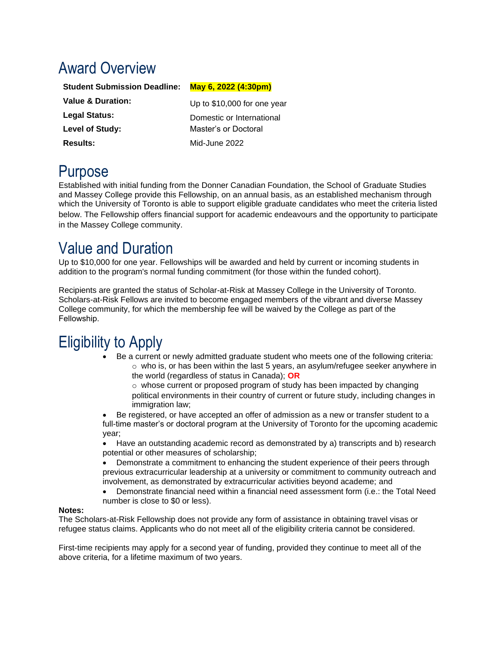# Award Overview

| <u>May 6, 2022 (4:30pm)</u> |
|-----------------------------|
| Up to \$10,000 for one year |
| Domestic or International   |
| Master's or Doctoral        |
| Mid-June 2022               |
|                             |

### Purpose

Established with initial funding from the Donner Canadian Foundation, the School of Graduate Studies and Massey College provide this Fellowship, on an annual basis, as an established mechanism through which the University of Toronto is able to support eligible graduate candidates who meet the criteria listed below. The Fellowship offers financial support for academic endeavours and the opportunity to participate in the Massey College community.

## Value and Duration

Up to \$10,000 for one year. Fellowships will be awarded and held by current or incoming students in addition to the program's normal funding commitment (for those within the funded cohort).

Recipients are granted the status of Scholar-at-Risk at Massey College in the University of Toronto. Scholars-at-Risk Fellows are invited to become engaged members of the vibrant and diverse Massey College community, for which the membership fee will be waived by the College as part of the Fellowship. 

# Eligibility to Apply

• Be a current or newly admitted graduate student who meets one of the following criteria:  $\circ$  who is, or has been within the last 5 years, an asylum/refugee seeker anywhere in the world (regardless of status in Canada); **OR**

o whose current or proposed program of study has been impacted by changing political environments in their country of current or future study, including changes in immigration law;

• Be registered, or have accepted an offer of admission as a new or transfer student to a full-time master's or doctoral program at the University of Toronto for the upcoming academic year;

• Have an outstanding academic record as demonstrated by a) transcripts and b) research potential or other measures of scholarship;

• Demonstrate a commitment to enhancing the student experience of their peers through previous extracurricular leadership at a university or commitment to community outreach and involvement, as demonstrated by extracurricular activities beyond academe; and

• Demonstrate financial need within a financial need assessment form (i.e.: the Total Need number is close to \$0 or less).

### **Notes:**

The Scholars-at-Risk Fellowship does not provide any form of assistance in obtaining travel visas or refugee status claims. Applicants who do not meet all of the eligibility criteria cannot be considered.

First-time recipients may apply for a second year of funding, provided they continue to meet all of the above criteria, for a lifetime maximum of two years.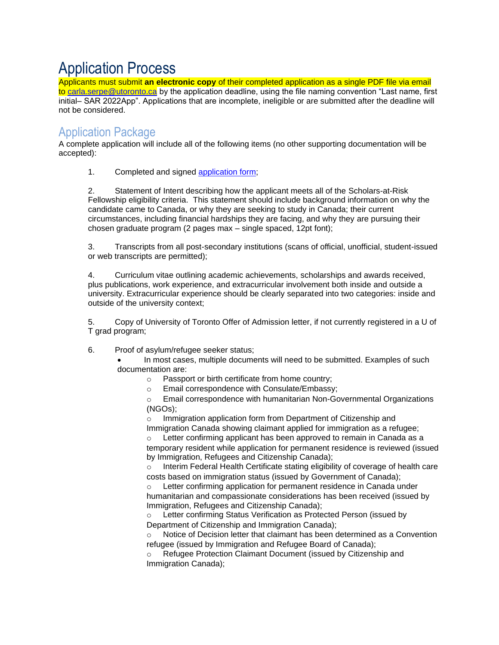## Application Process

Applicants must submit **an electronic copy** of their completed application as a single PDF file via email to [carla.serpe@utoronto.ca](mailto:carla.serpe@utoronto.ca) by the application deadline, using the file naming convention "Last name, first initial– SAR 2022App". Applications that are incomplete, ineligible or are submitted after the deadline will not be considered.

### Application Package

A complete application will include all of the following items (no other supporting documentation will be accepted):

1. Completed and signed [application form;](https://www.sgs.utoronto.ca/scholars-at-risk-fwshp-application/)

2. Statement of Intent describing how the applicant meets all of the Scholars-at-Risk Fellowship eligibility criteria. This statement should include background information on why the candidate came to Canada, or why they are seeking to study in Canada; their current circumstances, including financial hardships they are facing, and why they are pursuing their chosen graduate program (2 pages max – single spaced, 12pt font);

3. Transcripts from all post-secondary institutions (scans of official, unofficial, student-issued or web transcripts are permitted);

4. Curriculum vitae outlining academic achievements, scholarships and awards received, plus publications, work experience, and extracurricular involvement both inside and outside a university. Extracurricular experience should be clearly separated into two categories: inside and outside of the university context;

5. Copy of University of Toronto Offer of Admission letter, if not currently registered in a U of T grad program;

### 6. Proof of asylum/refugee seeker status;

• In most cases, multiple documents will need to be submitted. Examples of such documentation are:

- o Passport or birth certificate from home country;
- o Email correspondence with Consulate/Embassy;

o Email correspondence with humanitarian Non-Governmental Organizations (NGOs);

Immigration application form from Department of Citizenship and Immigration Canada showing claimant applied for immigration as a refugee;

Letter confirming applicant has been approved to remain in Canada as a temporary resident while application for permanent residence is reviewed (issued by Immigration, Refugees and Citizenship Canada);

o Interim Federal Health Certificate stating eligibility of coverage of health care costs based on immigration status (issued by Government of Canada);

 $\circ$  Letter confirming application for permanent residence in Canada under humanitarian and compassionate considerations has been received (issued by Immigration, Refugees and Citizenship Canada);

o Letter confirming Status Verification as Protected Person (issued by Department of Citizenship and Immigration Canada);

o Notice of Decision letter that claimant has been determined as a Convention refugee (issued by Immigration and Refugee Board of Canada);

Refugee Protection Claimant Document (issued by Citizenship and Immigration Canada);